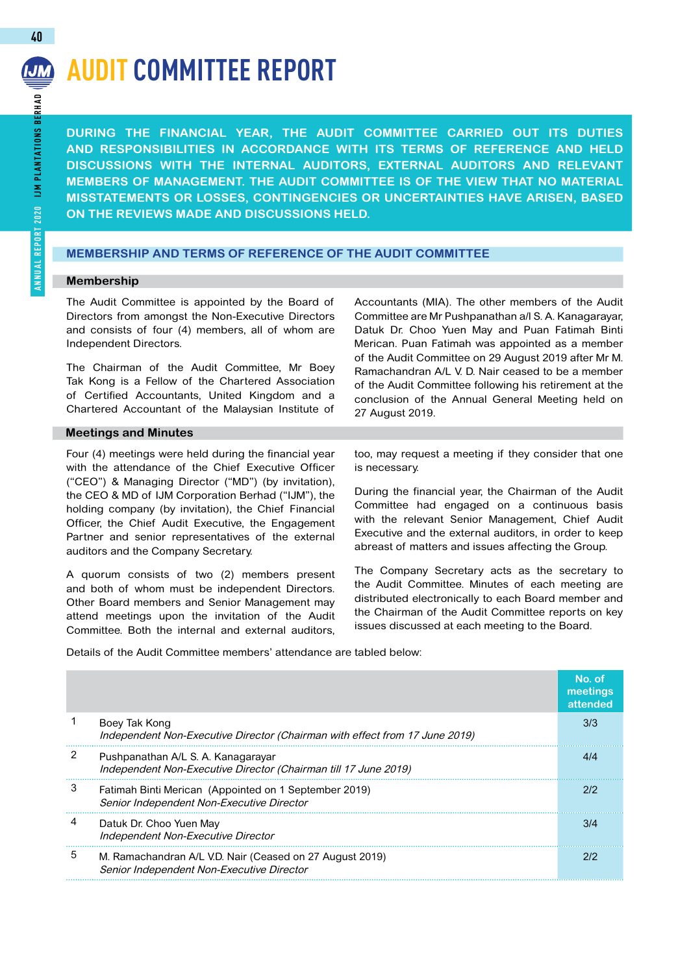# **Audit Committee Report**

**During the financial year, the Audit Committee carried out its duties and responsibilities in accordance with its terms of reference and held discussions with the internal auditors, external auditors and relevant members of Management. The Audit Committee is of the view that no material misstatements or losses, contingencies or uncertainties have arisen, based on the reviews made and discussions held.** 

# **MEMBERSHIP AND TERMS OF REFERENCE OF THE AUDIT COMMITTEE**

### **Membership**

The Audit Committee is appointed by the Board of Directors from amongst the Non-Executive Directors and consists of four (4) members, all of whom are Independent Directors.

The Chairman of the Audit Committee, Mr Boey Tak Kong is a Fellow of the Chartered Association of Certified Accountants, United Kingdom and a Chartered Accountant of the Malaysian Institute of

# **Meetings and Minutes**

Four (4) meetings were held during the financial year with the attendance of the Chief Executive Officer ("CEO") & Managing Director ("MD") (by invitation), the CEO & MD of IJM Corporation Berhad ("IJM"), the holding company (by invitation), the Chief Financial Officer, the Chief Audit Executive, the Engagement Partner and senior representatives of the external auditors and the Company Secretary.

A quorum consists of two (2) members present and both of whom must be independent Directors. Other Board members and Senior Management may attend meetings upon the invitation of the Audit Committee. Both the internal and external auditors,

Accountants (MIA). The other members of the Audit Committee are Mr Pushpanathan a/l S. A. Kanagarayar, Datuk Dr. Choo Yuen May and Puan Fatimah Binti Merican. Puan Fatimah was appointed as a member of the Audit Committee on 29 August 2019 after Mr M. Ramachandran A/L V. D. Nair ceased to be a member of the Audit Committee following his retirement at the conclusion of the Annual General Meeting held on 27 August 2019.

too, may request a meeting if they consider that one is necessary.

During the financial year, the Chairman of the Audit Committee had engaged on a continuous basis with the relevant Senior Management, Chief Audit Executive and the external auditors, in order to keep abreast of matters and issues affecting the Group.

The Company Secretary acts as the secretary to the Audit Committee. Minutes of each meeting are distributed electronically to each Board member and the Chairman of the Audit Committee reports on key issues discussed at each meeting to the Board.

Details of the Audit Committee members' attendance are tabled below:

|   |                                                                                                       | No. of<br>meetings<br>attended |
|---|-------------------------------------------------------------------------------------------------------|--------------------------------|
|   | Boey Tak Kong<br>Independent Non-Executive Director (Chairman with effect from 17 June 2019)          | 3/3                            |
|   | Pushpanathan A/L S. A. Kanagarayar<br>Independent Non-Executive Director (Chairman till 17 June 2019) | 4/4                            |
| 3 | Fatimah Binti Merican (Appointed on 1 September 2019)<br>Senior Independent Non-Executive Director    | 212                            |
|   | Datuk Dr. Choo Yuen May<br>Independent Non-Executive Director                                         | 3/4                            |
| 5 | M. Ramachandran A/L V.D. Nair (Ceased on 27 August 2019)<br>Senior Independent Non-Executive Director | 212                            |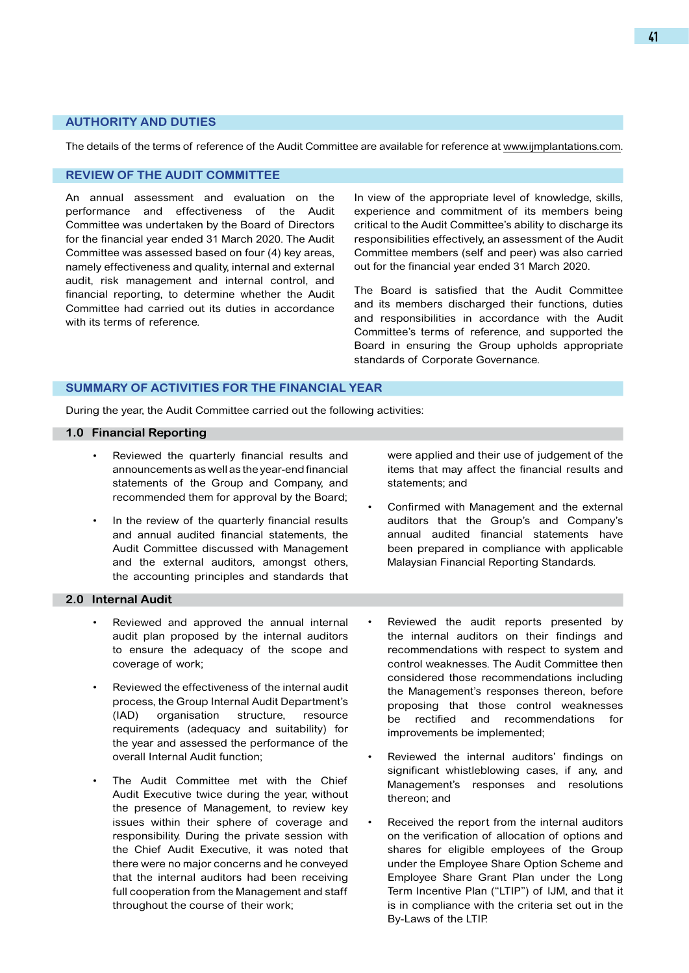### **AUTHORITY AND DUTIES**

The details of the terms of reference of the Audit Committee are available for reference at www.ijmplantations.com.

### **REVIEW OF THE AUDIT COMMITTEE**

An annual assessment and evaluation on the performance and effectiveness of the Audit Committee was undertaken by the Board of Directors for the financial year ended 31 March 2020. The Audit Committee was assessed based on four (4) key areas, namely effectiveness and quality, internal and external audit, risk management and internal control, and financial reporting, to determine whether the Audit Committee had carried out its duties in accordance with its terms of reference.

In view of the appropriate level of knowledge, skills, experience and commitment of its members being critical to the Audit Committee's ability to discharge its responsibilities effectively, an assessment of the Audit Committee members (self and peer) was also carried out for the financial year ended 31 March 2020.

The Board is satisfied that the Audit Committee and its members discharged their functions, duties and responsibilities in accordance with the Audit Committee's terms of reference, and supported the Board in ensuring the Group upholds appropriate standards of Corporate Governance.

# **SUMMARY OF ACTIVITIES FOR THE FINANCIAL YEAR**

During the year, the Audit Committee carried out the following activities:

#### **1.0 Financial Reporting**

- Reviewed the quarterly financial results and announcements as well as the year-end financial statements of the Group and Company, and recommended them for approval by the Board;
- In the review of the quarterly financial results and annual audited financial statements, the Audit Committee discussed with Management and the external auditors, amongst others, the accounting principles and standards that

# **2.0 Internal Audit**

- Reviewed and approved the annual internal audit plan proposed by the internal auditors to ensure the adequacy of the scope and coverage of work;
- Reviewed the effectiveness of the internal audit process, the Group Internal Audit Department's (IAD) organisation structure, resource requirements (adequacy and suitability) for the year and assessed the performance of the overall Internal Audit function;
- The Audit Committee met with the Chief Audit Executive twice during the year, without the presence of Management, to review key issues within their sphere of coverage and responsibility. During the private session with the Chief Audit Executive, it was noted that there were no major concerns and he conveyed that the internal auditors had been receiving full cooperation from the Management and staff throughout the course of their work;

were applied and their use of judgement of the items that may affect the financial results and statements; and

- Confirmed with Management and the external auditors that the Group's and Company's annual audited financial statements have been prepared in compliance with applicable Malaysian Financial Reporting Standards.
- Reviewed the audit reports presented by the internal auditors on their findings and recommendations with respect to system and control weaknesses. The Audit Committee then considered those recommendations including the Management's responses thereon, before proposing that those control weaknesses be rectified and recommendations for improvements be implemented;
- Reviewed the internal auditors' findings on significant whistleblowing cases, if any, and Management's responses and resolutions thereon; and
- Received the report from the internal auditors on the verification of allocation of options and shares for eligible employees of the Group under the Employee Share Option Scheme and Employee Share Grant Plan under the Long Term Incentive Plan ("LTIP") of IJM, and that it is in compliance with the criteria set out in the By-Laws of the LTIP.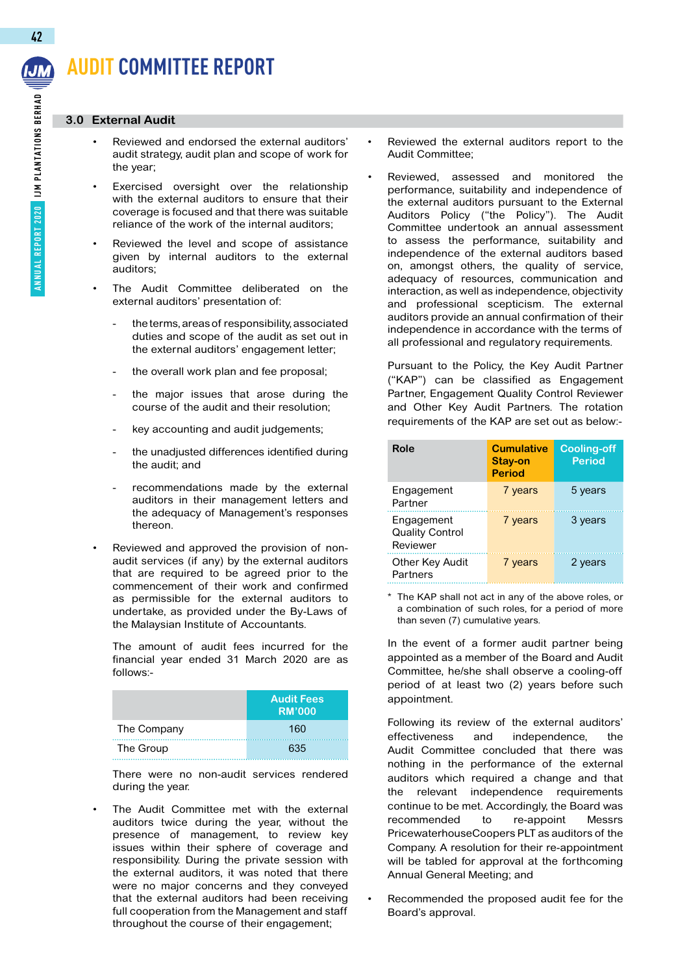# **Audit Committee Report**

### **3.0 External Audit**

- Reviewed and endorsed the external auditors' audit strategy, audit plan and scope of work for the year;
- Exercised oversight over the relationship with the external auditors to ensure that their coverage is focused and that there was suitable reliance of the work of the internal auditors;
- Reviewed the level and scope of assistance given by internal auditors to the external auditors;
- The Audit Committee deliberated on the external auditors' presentation of:
	- the terms, areas of responsibility, associated duties and scope of the audit as set out in the external auditors' engagement letter;
	- the overall work plan and fee proposal;
	- the major issues that arose during the course of the audit and their resolution;
	- key accounting and audit judgements;
	- the unadjusted differences identified during the audit; and
	- recommendations made by the external auditors in their management letters and the adequacy of Management's responses thereon.
- Reviewed and approved the provision of nonaudit services (if any) by the external auditors that are required to be agreed prior to the commencement of their work and confirmed as permissible for the external auditors to undertake, as provided under the By-Laws of the Malaysian Institute of Accountants.

The amount of audit fees incurred for the financial year ended 31 March 2020 are as follows:-

|             | <b>Audit Fees</b><br><b>RM'000</b> |
|-------------|------------------------------------|
| The Company | 160                                |
| The Group   | 635                                |

There were no non-audit services rendered during the year.

The Audit Committee met with the external auditors twice during the year, without the presence of management, to review key issues within their sphere of coverage and responsibility. During the private session with the external auditors, it was noted that there were no major concerns and they conveyed that the external auditors had been receiving full cooperation from the Management and staff throughout the course of their engagement;

- Reviewed the external auditors report to the Audit Committee;
- Reviewed, assessed and monitored the performance, suitability and independence of the external auditors pursuant to the External Auditors Policy ("the Policy"). The Audit Committee undertook an annual assessment to assess the performance, suitability and independence of the external auditors based on, amongst others, the quality of service, adequacy of resources, communication and interaction, as well as independence, objectivity and professional scepticism. The external auditors provide an annual confirmation of their independence in accordance with the terms of all professional and regulatory requirements.

Pursuant to the Policy, the Key Audit Partner ("KAP") can be classified as Engagement Partner, Engagement Quality Control Reviewer and Other Key Audit Partners. The rotation requirements of the KAP are set out as below:-

| Role                                             | <b>Cumulative</b><br>Stay-on<br><b>Period</b> | <b>Cooling-off</b><br><b>Period</b> |
|--------------------------------------------------|-----------------------------------------------|-------------------------------------|
| Engagement<br>Partner                            | 7 years                                       | 5 years                             |
| Engagement<br><b>Quality Control</b><br>Reviewer | 7 years                                       | 3 years                             |
| Other Key Audit<br>Partners                      | 7 years                                       | 2 years                             |

\* The KAP shall not act in any of the above roles, or a combination of such roles, for a period of more than seven (7) cumulative years.

In the event of a former audit partner being appointed as a member of the Board and Audit Committee, he/she shall observe a cooling-off period of at least two (2) years before such appointment.

Following its review of the external auditors' effectiveness and independence, the Audit Committee concluded that there was nothing in the performance of the external auditors which required a change and that the relevant independence requirements continue to be met. Accordingly, the Board was recommended to re-appoint Messrs PricewaterhouseCoopers PLT as auditors of the Company. A resolution for their re-appointment will be tabled for approval at the forthcoming Annual General Meeting; and

Recommended the proposed audit fee for the Board's approval.

**42**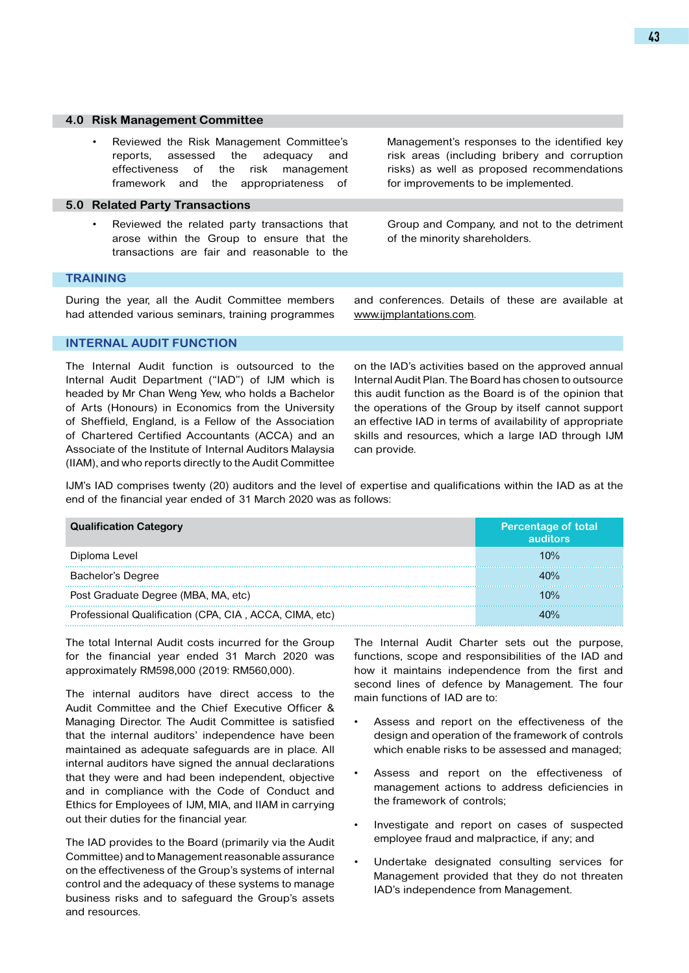#### **4.0 Risk Management Committee**

Reviewed the Risk Management Committee's reports, assessed the adequacy and effectiveness of the risk management framework and the appropriateness of

### **5.0 Related Party Transactions**

Reviewed the related party transactions that arose within the Group to ensure that the transactions are fair and reasonable to the

Management's responses to the identified key risk areas (including bribery and corruption risks) as well as proposed recommendations for improvements to be implemented.

Group and Company, and not to the detriment of the minority shareholders.

### **TRAINING**

During the year, all the Audit Committee members had attended various seminars, training programmes and conferences. Details of these are available at www.ijmplantations.com.

## **INTERNAL AUDIT FUNCTION**

The Internal Audit function is outsourced to the Internal Audit Department ("IAD") of IJM which is headed by Mr Chan Weng Yew, who holds a Bachelor of Arts (Honours) in Economics from the University of Sheffield, England, is a Fellow of the Association of Chartered Certified Accountants (ACCA) and an Associate of the Institute of Internal Auditors Malaysia (IIAM), and who reports directly to the Audit Committee

on the IAD's activities based on the approved annual Internal Audit Plan. The Board has chosen to outsource this audit function as the Board is of the opinion that the operations of the Group by itself cannot support an effective IAD in terms of availability of appropriate skills and resources, which a large IAD through IJM can provide.

IJM's IAD comprises twenty (20) auditors and the level of expertise and qualifications within the IAD as at the end of the financial year ended of 31 March 2020 was as follows:

| <b>Qualification Category</b>                          | <b>Percentage of total</b><br>auditors |
|--------------------------------------------------------|----------------------------------------|
| Diploma Level                                          | 10%                                    |
| Bachelor's Degree                                      | 4በ%                                    |
| Post Graduate Degree (MBA, MA, etc)                    | 10%                                    |
| Professional Qualification (CPA, CIA, ACCA, CIMA, etc) |                                        |

The total Internal Audit costs incurred for the Group for the financial year ended 31 March 2020 was approximately RM598,000 (2019: RM560,000).

The internal auditors have direct access to the Audit Committee and the Chief Executive Officer & Managing Director. The Audit Committee is satisfied that the internal auditors' independence have been maintained as adequate safeguards are in place. All internal auditors have signed the annual declarations that they were and had been independent, objective and in compliance with the Code of Conduct and Ethics for Employees of IJM, MIA, and IIAM in carrying out their duties for the financial year.

The IAD provides to the Board (primarily via the Audit Committee) and to Management reasonable assurance on the effectiveness of the Group's systems of internal control and the adequacy of these systems to manage business risks and to safeguard the Group's assets and resources.

The Internal Audit Charter sets out the purpose, functions, scope and responsibilities of the IAD and how it maintains independence from the first and second lines of defence by Management. The four main functions of IAD are to:

- Assess and report on the effectiveness of the design and operation of the framework of controls which enable risks to be assessed and managed;
- Assess and report on the effectiveness of management actions to address deficiencies in the framework of controls;
- Investigate and report on cases of suspected employee fraud and malpractice, if any; and
- Undertake designated consulting services for Management provided that they do not threaten IAD's independence from Management.